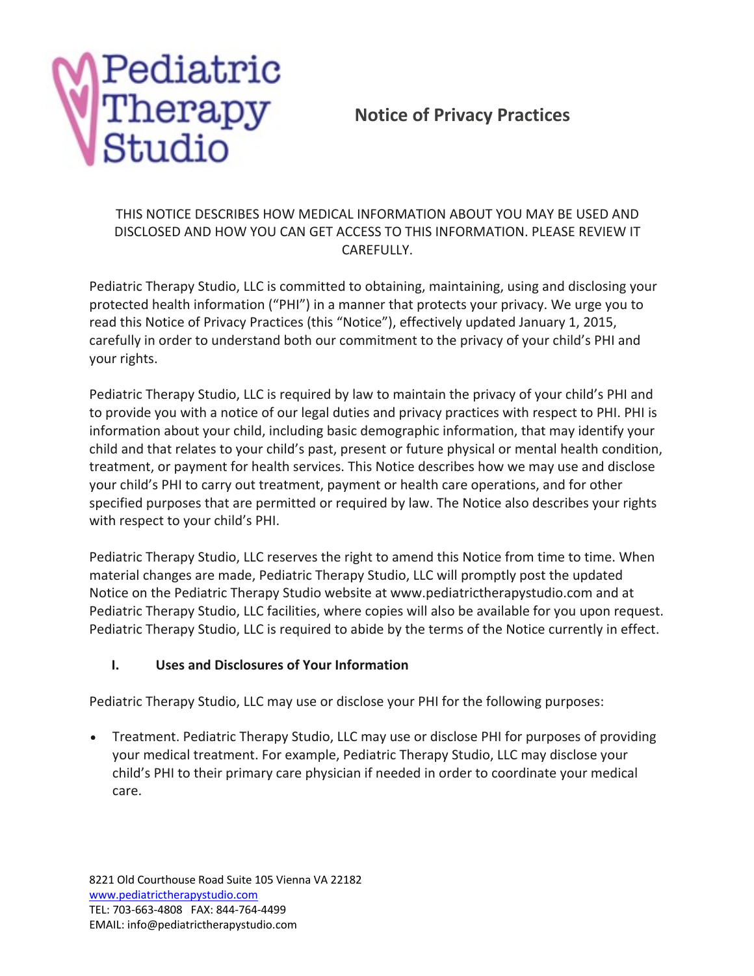

# **Notice of Privacy Practices**

### THIS NOTICE DESCRIBES HOW MEDICAL INFORMATION ABOUT YOU MAY BE USED AND DISCLOSED AND HOW YOU CAN GET ACCESS TO THIS INFORMATION. PLEASE REVIEW IT CAREFULLY.

Pediatric Therapy Studio, LLC is committed to obtaining, maintaining, using and disclosing your protected health information ("PHI") in a manner that protects your privacy. We urge you to read this Notice of Privacy Practices (this "Notice"), effectively updated January 1, 2015, carefully in order to understand both our commitment to the privacy of your child's PHI and your rights.

Pediatric Therapy Studio, LLC is required by law to maintain the privacy of your child's PHI and to provide you with a notice of our legal duties and privacy practices with respect to PHI. PHI is information about your child, including basic demographic information, that may identify your child and that relates to your child's past, present or future physical or mental health condition, treatment, or payment for health services. This Notice describes how we may use and disclose your child's PHI to carry out treatment, payment or health care operations, and for other specified purposes that are permitted or required by law. The Notice also describes your rights with respect to your child's PHI.

Pediatric Therapy Studio, LLC reserves the right to amend this Notice from time to time. When material changes are made, Pediatric Therapy Studio, LLC will promptly post the updated Notice on the Pediatric Therapy Studio website at www.pediatrictherapystudio.com and at Pediatric Therapy Studio, LLC facilities, where copies will also be available for you upon request. Pediatric Therapy Studio, LLC is required to abide by the terms of the Notice currently in effect.

## **I. Uses and Disclosures of Your Information**

Pediatric Therapy Studio, LLC may use or disclose your PHI for the following purposes:

• Treatment. Pediatric Therapy Studio, LLC may use or disclose PHI for purposes of providing your medical treatment. For example, Pediatric Therapy Studio, LLC may disclose your child's PHI to their primary care physician if needed in order to coordinate your medical care.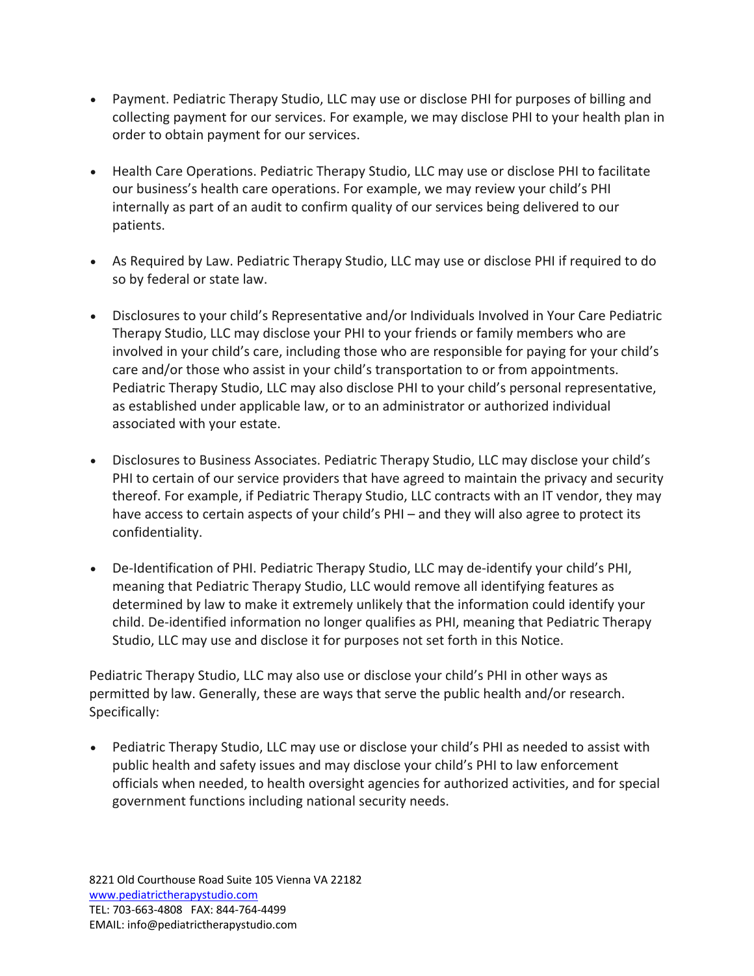- Payment. Pediatric Therapy Studio, LLC may use or disclose PHI for purposes of billing and collecting payment for our services. For example, we may disclose PHI to your health plan in order to obtain payment for our services.
- Health Care Operations. Pediatric Therapy Studio, LLC may use or disclose PHI to facilitate our business's health care operations. For example, we may review your child's PHI internally as part of an audit to confirm quality of our services being delivered to our patients.
- As Required by Law. Pediatric Therapy Studio, LLC may use or disclose PHI if required to do so by federal or state law.
- Disclosures to your child's Representative and/or Individuals Involved in Your Care Pediatric Therapy Studio, LLC may disclose your PHI to your friends or family members who are involved in your child's care, including those who are responsible for paying for your child's care and/or those who assist in your child's transportation to or from appointments. Pediatric Therapy Studio, LLC may also disclose PHI to your child's personal representative, as established under applicable law, or to an administrator or authorized individual associated with your estate.
- Disclosures to Business Associates. Pediatric Therapy Studio, LLC may disclose your child's PHI to certain of our service providers that have agreed to maintain the privacy and security thereof. For example, if Pediatric Therapy Studio, LLC contracts with an IT vendor, they may have access to certain aspects of your child's PHI – and they will also agree to protect its confidentiality.
- De-Identification of PHI. Pediatric Therapy Studio, LLC may de-identify your child's PHI, meaning that Pediatric Therapy Studio, LLC would remove all identifying features as determined by law to make it extremely unlikely that the information could identify your child. De-identified information no longer qualifies as PHI, meaning that Pediatric Therapy Studio, LLC may use and disclose it for purposes not set forth in this Notice.

Pediatric Therapy Studio, LLC may also use or disclose your child's PHI in other ways as permitted by law. Generally, these are ways that serve the public health and/or research. Specifically:

• Pediatric Therapy Studio, LLC may use or disclose your child's PHI as needed to assist with public health and safety issues and may disclose your child's PHI to law enforcement officials when needed, to health oversight agencies for authorized activities, and for special government functions including national security needs.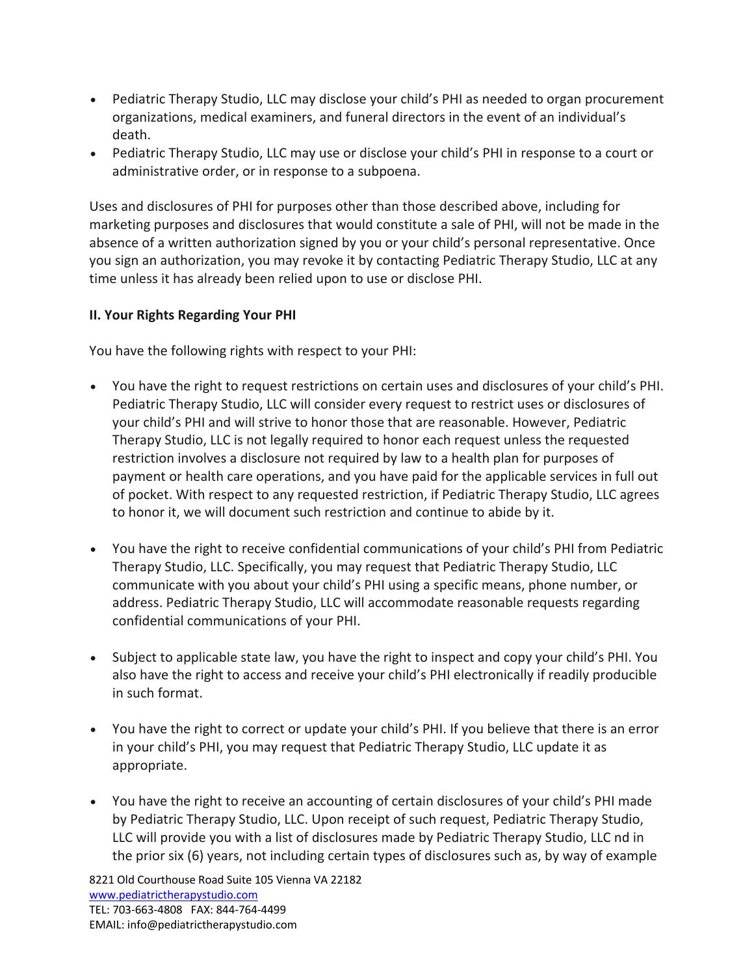- Pediatric Therapy Studio, LLC may disclose your child's PHI as needed to organ procurement organizations, medical examiners, and funeral directors in the event of an individual's death.
- Pediatric Therapy Studio, LLC may use or disclose your child's PHI in response to a court or administrative order, or in response to a subpoena.

Uses and disclosures of PHI for purposes other than those described above, including for marketing purposes and disclosures that would constitute a sale of PHI, will not be made in the absence of a written authorization signed by you or your child's personal representative. Once you sign an authorization, you may revoke it by contacting Pediatric Therapy Studio, LLC at any time unless it has already been relied upon to use or disclose PHI.

#### **II. Your Rights Regarding Your PHI**

You have the following rights with respect to your PHI:

- You have the right to request restrictions on certain uses and disclosures of your child's PHI. Pediatric Therapy Studio, LLC will consider every request to restrict uses or disclosures of your child's PHI and will strive to honor those that are reasonable. However, Pediatric Therapy Studio, LLC is not legally required to honor each request unless the requested restriction involves a disclosure not required by law to a health plan for purposes of payment or health care operations, and you have paid for the applicable services in full out of pocket. With respect to any requested restriction, if Pediatric Therapy Studio, LLC agrees to honor it, we will document such restriction and continue to abide by it.
- You have the right to receive confidential communications of your child's PHI from Pediatric Therapy Studio, LLC. Specifically, you may request that Pediatric Therapy Studio, LLC communicate with you about your child's PHI using a specific means, phone number, or address. Pediatric Therapy Studio, LLC will accommodate reasonable requests regarding confidential communications of your PHI.
- Subject to applicable state law, you have the right to inspect and copy your child's PHI. You also have the right to access and receive your child's PHI electronically if readily producible in such format.
- You have the right to correct or update your child's PHI. If you believe that there is an error in your child's PHI, you may request that Pediatric Therapy Studio, LLC update it as appropriate.
- You have the right to receive an accounting of certain disclosures of your child's PHI made by Pediatric Therapy Studio, LLC. Upon receipt of such request, Pediatric Therapy Studio, LLC will provide you with a list of disclosures made by Pediatric Therapy Studio, LLC nd in the prior six (6) years, not including certain types of disclosures such as, by way of example

8221 Old Courthouse Road Suite 105 Vienna VA 22182 www.pediatrictherapystudio.com TEL: 703-663-4808 FAX: 844-764-4499 EMAIL: info@pediatrictherapystudio.com